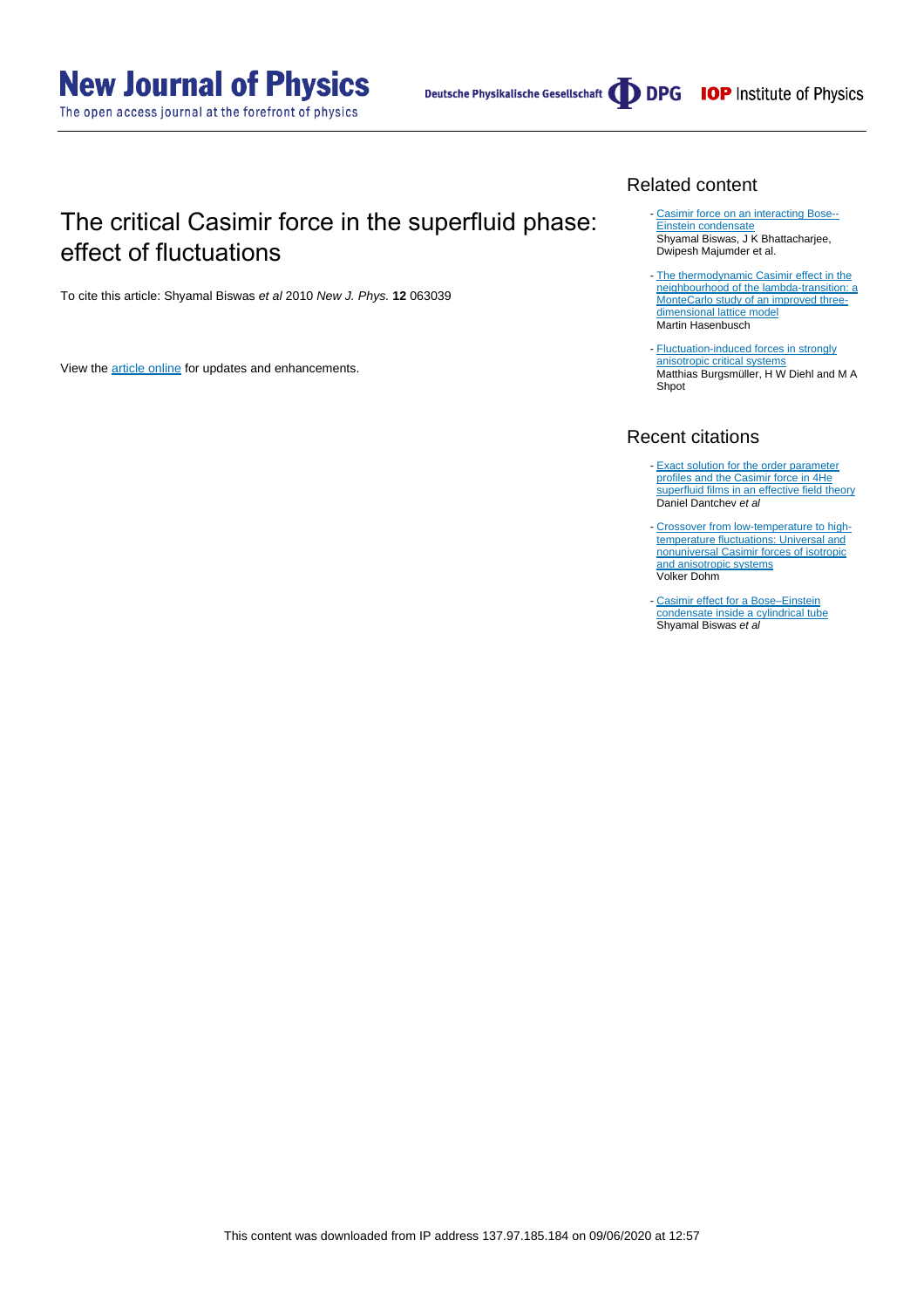Deutsche Physikalische Gesellschaft (DDPG IOP Institute of Physics

## The critical Casimir force in the superfluid phase: effect of fluctuations

To cite this article: Shyamal Biswas et al 2010 New J. Phys. **12** 063039

View the [article online](https://doi.org/10.1088/1367-2630/12/6/063039) for updates and enhancements.

#### Related content

- [Casimir force on an interacting Bose--](http://iopscience.iop.org/article/10.1088/0953-4075/43/8/085305) [Einstein condensate](http://iopscience.iop.org/article/10.1088/0953-4075/43/8/085305) Shyamal Biswas, J K Bhattacharjee, Dwipesh Majumder et al.
- [The thermodynamic Casimir effect in the](http://iopscience.iop.org/article/10.1088/1742-5468/2009/07/P07031) [neighbourhood of the lambda-transition: a](http://iopscience.iop.org/article/10.1088/1742-5468/2009/07/P07031) [MonteCarlo study of an improved three](http://iopscience.iop.org/article/10.1088/1742-5468/2009/07/P07031)[dimensional lattice model](http://iopscience.iop.org/article/10.1088/1742-5468/2009/07/P07031) Martin Hasenbusch
- **[Fluctuation-induced forces in strongly](http://iopscience.iop.org/article/10.1088/1742-5468/2010/11/P11020)** [anisotropic critical systems](http://iopscience.iop.org/article/10.1088/1742-5468/2010/11/P11020) Matthias Burgsmüller, H W Diehl and M A Shpot

#### Recent citations

- **[Exact solution for the order parameter](http://dx.doi.org/10.1016/j.physa.2019.02.003)** [profiles and the Casimir force in 4He](http://dx.doi.org/10.1016/j.physa.2019.02.003) [superfluid films in an effective field theory](http://dx.doi.org/10.1016/j.physa.2019.02.003) Daniel Dantchev et al
- [Crossover from low-temperature to high](http://dx.doi.org/10.1103/PhysRevE.97.062128)[temperature fluctuations: Universal and](http://dx.doi.org/10.1103/PhysRevE.97.062128) [nonuniversal Casimir forces of isotropic](http://dx.doi.org/10.1103/PhysRevE.97.062128) [and anisotropic systems](http://dx.doi.org/10.1103/PhysRevE.97.062128) Volker Dohm
- Casimir effect for a Bose-Einstein [condensate inside a cylindrical tube](http://iopscience.iop.org/0953-4075/49/1/015301)<br>Shyamal Biswas *et al*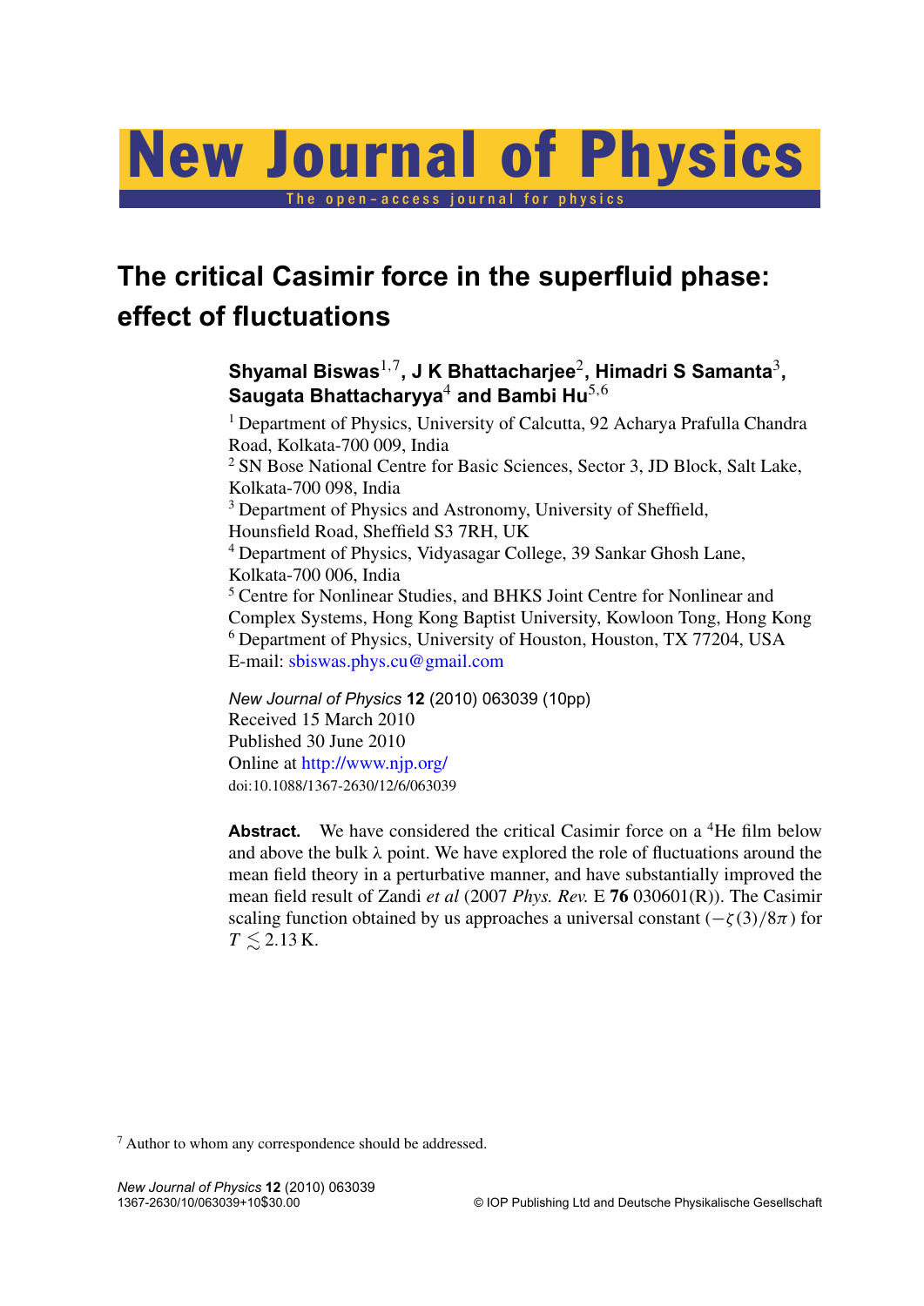# New Journal of Physics

The open-access journal for physic

# **The critical Casimir force in the superfluid phase: effect of fluctuations**

### **Shyamal Biswas**1,<sup>7</sup> **, J K Bhattacharjee**<sup>2</sup> **, Himadri S Samanta**<sup>3</sup> **, Saugata Bhattacharyya**<sup>4</sup> **and Bambi Hu**5,<sup>6</sup>

<sup>1</sup> Department of Physics, University of Calcutta, 92 Acharya Prafulla Chandra Road, Kolkata-700 009, India <sup>2</sup> SN Bose National Centre for Basic Sciences, Sector 3, JD Block, Salt Lake, Kolkata-700 098, India <sup>3</sup> Department of Physics and Astronomy, University of Sheffield, Hounsfield Road, Sheffield S3 7RH, UK <sup>4</sup> Department of Physics, Vidyasagar College, 39 Sankar Ghosh Lane, Kolkata-700 006, India <sup>5</sup> Centre for Nonlinear Studies, and BHKS Joint Centre for Nonlinear and Complex Systems, Hong Kong Baptist University, Kowloon Tong, Hong Kong <sup>6</sup> Department of Physics, University of Houston, Houston, TX 77204, USA E-mail: [sbiswas.phys.cu@gmail.com](mailto:sbiswas.phys.cu@gmail.com)

*New Journal of Physics* **12** (2010) 063039 (10pp) Received 15 March 2010 Published 30 June 2010 Online at <http://www.njp.org/> doi:10.1088/1367-2630/12/6/063039

**Abstract.** We have considered the critical Casimir force on a <sup>4</sup>He film below and above the bulk  $\lambda$  point. We have explored the role of fluctuations around the mean field theory in a perturbative manner, and have substantially improved the mean field result of Zandi *et al* (2007 *Phys. Rev.* E **76** 030601(R)). The Casimir scaling function obtained by us approaches a universal constant  $(-\zeta(3)/8\pi)$  for  $T \leq 2.13$  K.

<sup>7</sup> Author to whom any correspondence should be addressed.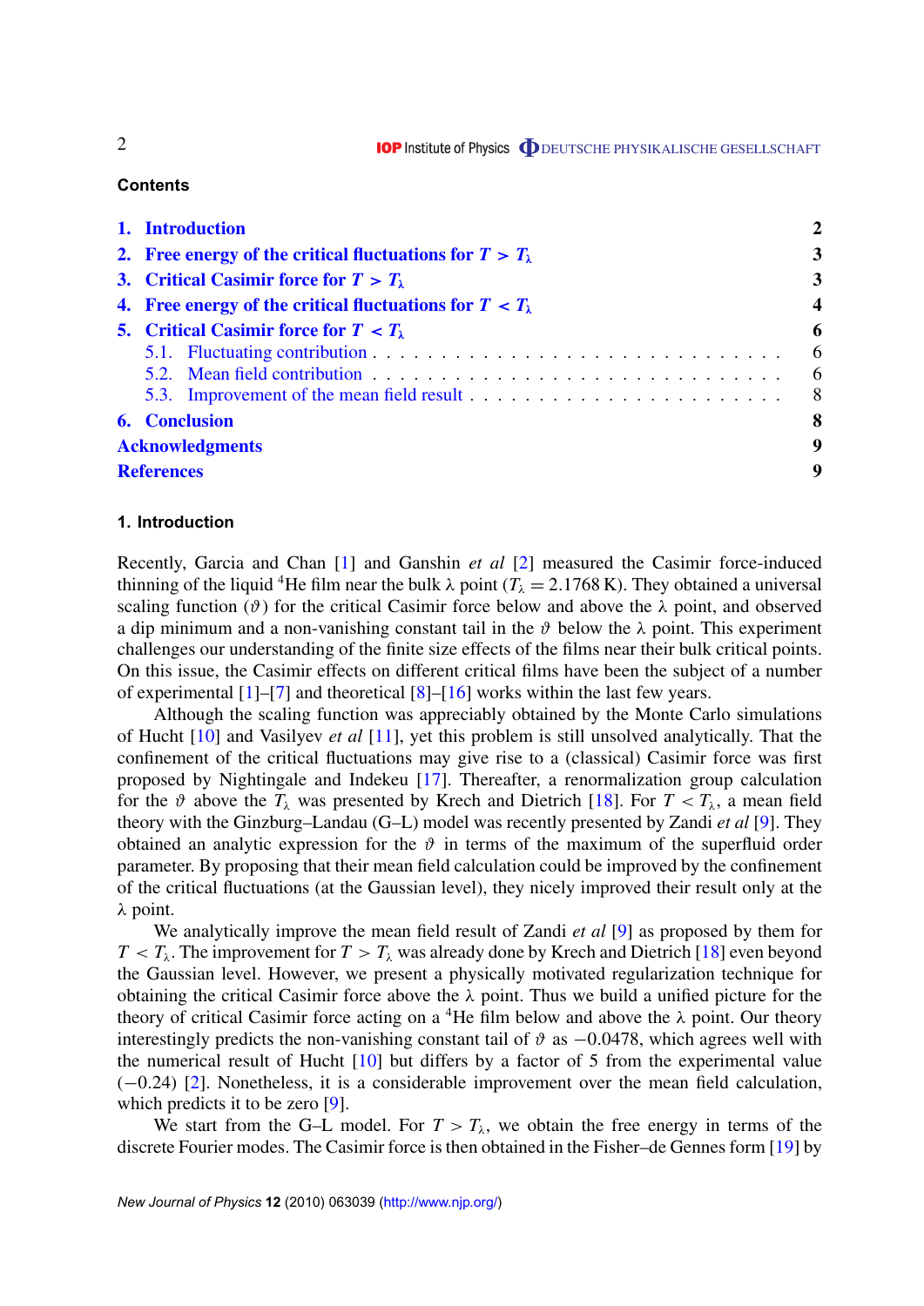#### **Contents**

| 1. Introduction                                                     | $\mathbf 2$             |
|---------------------------------------------------------------------|-------------------------|
| 2. Free energy of the critical fluctuations for $T > T_{\lambda}$   | 3                       |
| 3. Critical Casimir force for $T > T_{\lambda}$                     | $\overline{\mathbf{3}}$ |
| 4. Free energy of the critical fluctuations for $T < T_{\lambda}$   | $\overline{\mathbf{4}}$ |
| 5. Critical Casimir force for $T < T_{\lambda}$                     | 6<br>6<br>6<br>- 8      |
| <b>6.</b> Conclusion<br><b>Acknowledgments</b><br><b>References</b> | 8<br>9<br>9             |

#### **1. Introduction**

Recently, Garcia and Chan [\[1\]](#page-9-0) and Ganshin *et al* [\[2\]](#page-9-0) measured the Casimir force-induced thinning of the liquid <sup>4</sup>He film near the bulk  $\lambda$  point ( $T_{\lambda} = 2.1768 \text{ K}$ ). They obtained a universal scaling function ( $\vartheta$ ) for the critical Casimir force below and above the  $\lambda$  point, and observed a dip minimum and a non-vanishing constant tail in the  $\vartheta$  below the  $\lambda$  point. This experiment challenges our understanding of the finite size effects of the films near their bulk critical points. On this issue, the Casimir effects on different critical films have been the subject of a number of experimental [\[1\]](#page-9-0)–[\[7\]](#page-9-0) and theoretical [\[8\]](#page-9-0)–[\[16\]](#page-9-0) works within the last few years.

Although the scaling function was appreciably obtained by the Monte Carlo simulations of Hucht [\[10\]](#page-9-0) and Vasilyev *et al* [\[11\]](#page-9-0), yet this problem is still unsolved analytically. That the confinement of the critical fluctuations may give rise to a (classical) Casimir force was first proposed by Nightingale and Indekeu [\[17\]](#page-9-0). Thereafter, a renormalization group calculation for the  $\vartheta$  above the  $T_{\lambda}$  was presented by Krech and Dietrich [\[18\]](#page-9-0). For  $T < T_{\lambda}$ , a mean field theory with the Ginzburg–Landau (G–L) model was recently presented by Zandi *et al* [\[9\]](#page-9-0). They obtained an analytic expression for the  $\vartheta$  in terms of the maximum of the superfluid order parameter. By proposing that their mean field calculation could be improved by the confinement of the critical fluctuations (at the Gaussian level), they nicely improved their result only at the λ point.

We analytically improve the mean field result of Zandi *et al* [\[9\]](#page-9-0) as proposed by them for  $T < T_{\lambda}$ . The improvement for  $T > T_{\lambda}$  was already done by Krech and Dietrich [\[18\]](#page-9-0) even beyond the Gaussian level. However, we present a physically motivated regularization technique for obtaining the critical Casimir force above the  $\lambda$  point. Thus we build a unified picture for the theory of critical Casimir force acting on a <sup>4</sup>He film below and above the  $\lambda$  point. Our theory interestingly predicts the non-vanishing constant tail of  $\vartheta$  as  $-0.0478$ , which agrees well with the numerical result of Hucht  $[10]$  but differs by a factor of 5 from the experimental value (−0.24) [\[2\]](#page-9-0). Nonetheless, it is a considerable improvement over the mean field calculation, which predicts it to be zero [\[9\]](#page-9-0).

We start from the G–L model. For  $T > T_{\lambda}$ , we obtain the free energy in terms of the discrete Fourier modes. The Casimir force is then obtained in the Fisher–de Gennes form [\[19\]](#page-9-0) by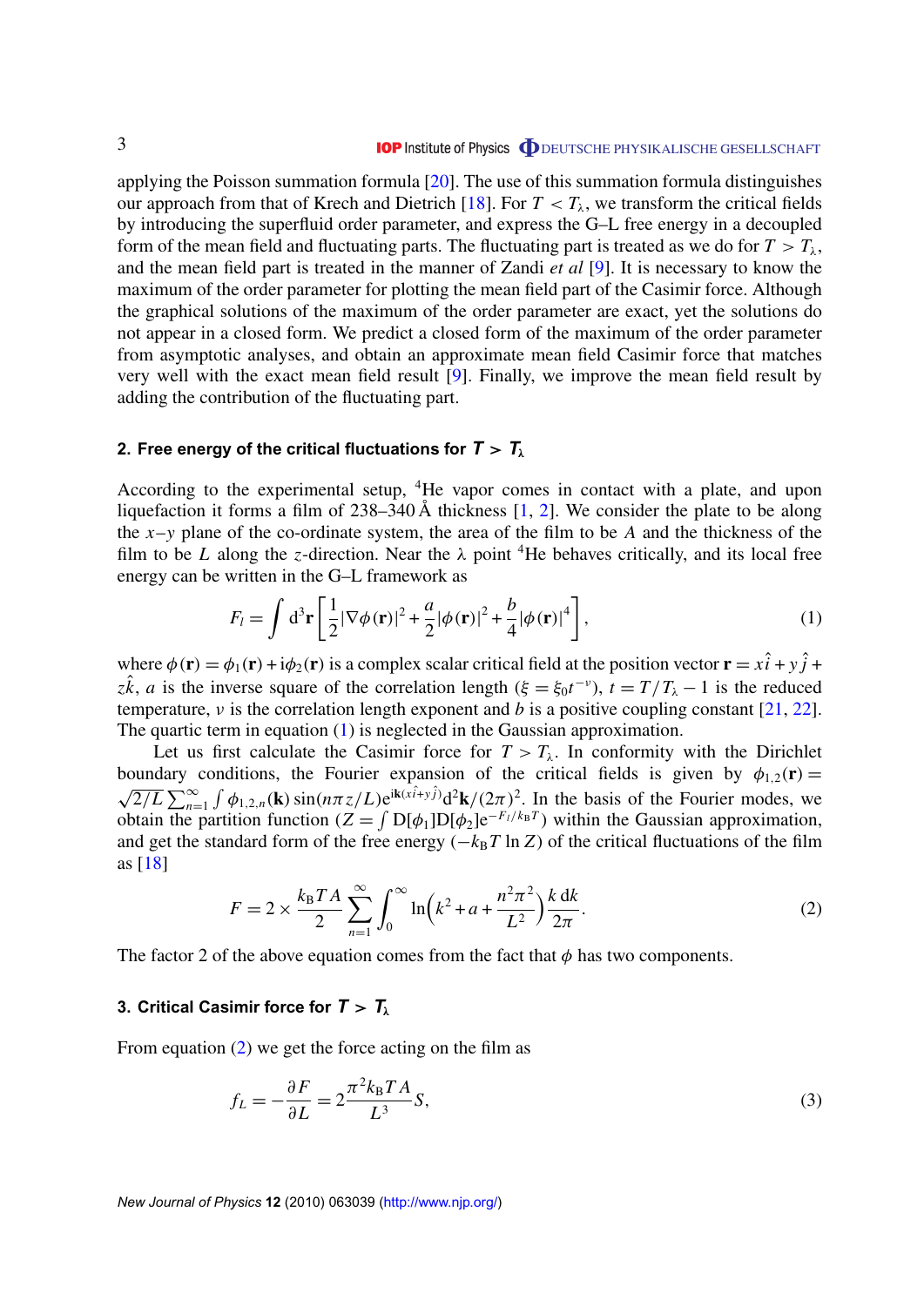<span id="page-3-0"></span>applying the Poisson summation formula [\[20\]](#page-10-0). The use of this summation formula distinguishes our approach from that of Krech and Dietrich [\[18\]](#page-9-0). For  $T < T_\lambda$ , we transform the critical fields by introducing the superfluid order parameter, and express the G–L free energy in a decoupled form of the mean field and fluctuating parts. The fluctuating part is treated as we do for  $T > T_{\lambda}$ , and the mean field part is treated in the manner of Zandi *et al* [\[9\]](#page-9-0). It is necessary to know the maximum of the order parameter for plotting the mean field part of the Casimir force. Although the graphical solutions of the maximum of the order parameter are exact, yet the solutions do not appear in a closed form. We predict a closed form of the maximum of the order parameter from asymptotic analyses, and obtain an approximate mean field Casimir force that matches very well with the exact mean field result [\[9\]](#page-9-0). Finally, we improve the mean field result by adding the contribution of the fluctuating part.

#### **2. Free energy of the critical fluctuations for**  $T > T_{\lambda}$

According to the experimental setup, <sup>4</sup>He vapor comes in contact with a plate, and upon liquefaction it forms a film of  $238-340 \text{ Å}$  thickness [\[1,](#page-9-0) [2\]](#page-9-0). We consider the plate to be along the *x*–*y* plane of the co-ordinate system, the area of the film to be *A* and the thickness of the film to be *L* along the *z*-direction. Near the  $\lambda$  point <sup>4</sup>He behaves critically, and its local free energy can be written in the G–L framework as

$$
F_l = \int d^3 \mathbf{r} \left[ \frac{1}{2} |\nabla \phi(\mathbf{r})|^2 + \frac{a}{2} |\phi(\mathbf{r})|^2 + \frac{b}{4} |\phi(\mathbf{r})|^4 \right],\tag{1}
$$

where  $\phi(\mathbf{r}) = \phi_1(\mathbf{r}) + i\phi_2(\mathbf{r})$  is a complex scalar critical field at the position vector  $\mathbf{r} = x\hat{i} + y\hat{j} + y\hat{k}$ *z* $\hat{k}$ , *a* is the inverse square of the correlation length ( $\xi = \xi_0 t^{-\nu}$ ),  $t = T/T_\lambda - 1$  is the reduced temperature, ν is the correlation length exponent and *b* is a positive coupling constant [\[21,](#page-10-0) [22\]](#page-10-0). The quartic term in equation (1) is neglected in the Gaussian approximation.

Let us first calculate the Casimir force for  $T > T_{\lambda}$ . In conformity with the Dirichlet boundary conditions, the Fourier expansion of the critical fields is given by  $\phi_{1,2}(\mathbf{r}) =$  $\overline{2/L} \sum_{n=1}^{\infty} \int \phi_{1,2,n}(\mathbf{k}) \sin(n\pi z/L) e^{i\mathbf{k}(\hat{x} \cdot \hat{i} + y \cdot \hat{j})} d^2\mathbf{k}/(2\pi)^2$ . In the basis of the Fourier modes, we obtain the partition function  $(Z = \int D[\phi_1]D[\phi_2]e^{-F_I/k_BT})$  within the Gaussian approximation, and get the standard form of the free energy  $(-k_BT \ln Z)$  of the critical fluctuations of the film as [\[18\]](#page-9-0)

$$
F = 2 \times \frac{k_{\rm B} T A}{2} \sum_{n=1}^{\infty} \int_0^{\infty} \ln\left(k^2 + a + \frac{n^2 \pi^2}{L^2}\right) \frac{k \, \mathrm{d} k}{2\pi}.
$$
 (2)

The factor 2 of the above equation comes from the fact that  $\phi$  has two components.

#### **3. Critical Casimir force for**  $T > T_{\lambda}$

From equation (2) we get the force acting on the film as

$$
f_L = -\frac{\partial F}{\partial L} = 2\frac{\pi^2 k_B T A}{L^3} S,\tag{3}
$$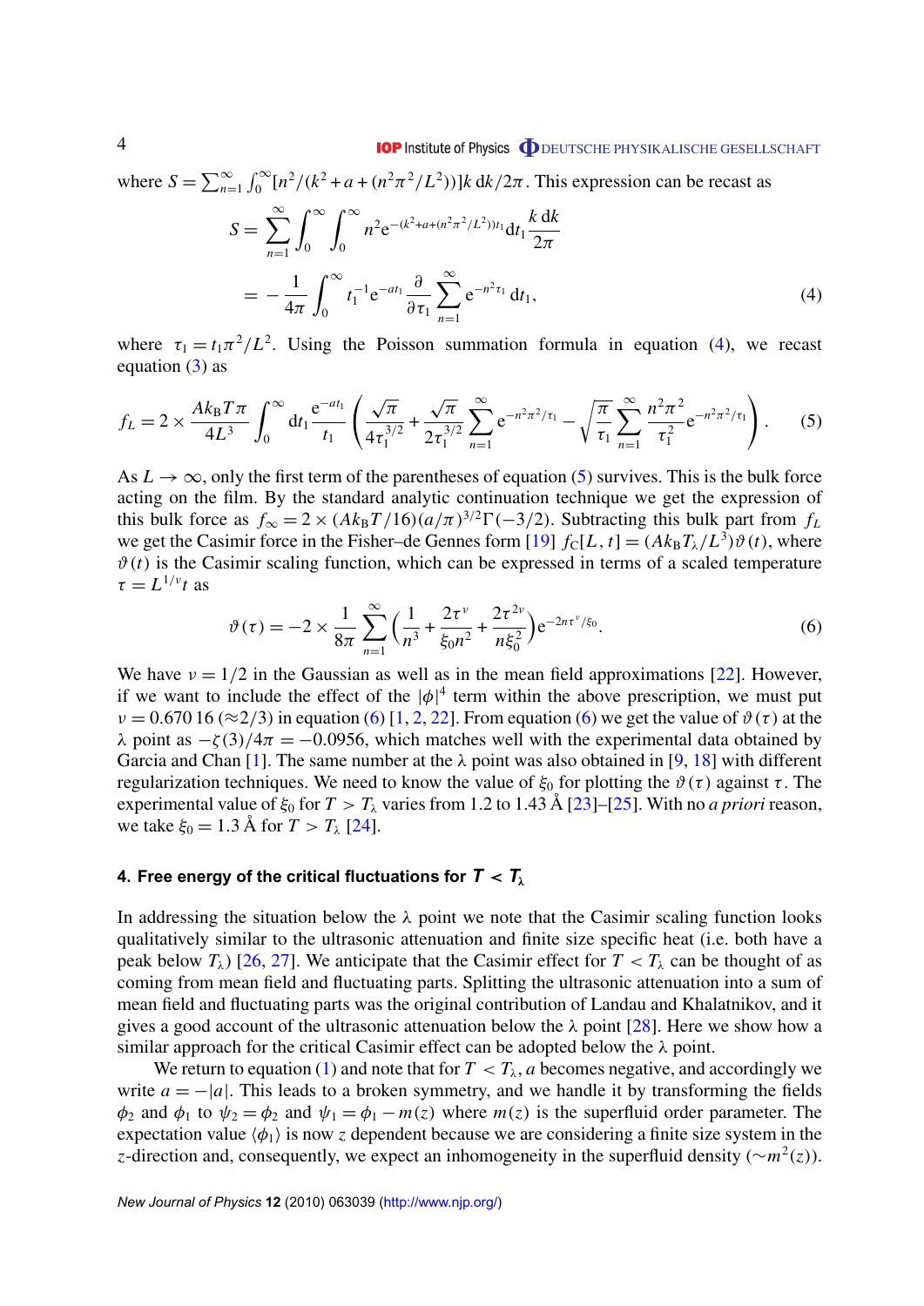#### **IOP** Institute of Physics **ODEUTSCHE PHYSIKALISCHE GESELLSCHAFT**

<span id="page-4-0"></span>where  $S = \sum_{n=1}^{\infty} \int_{0}^{\infty} [n^2/(k^2 + a + (n^2 \pi^2/L^2))]k \, dk/2\pi$ . This expression can be recast as

$$
S = \sum_{n=1}^{\infty} \int_0^{\infty} \int_0^{\infty} n^2 e^{-(k^2 + a + (n^2 \pi^2 / L^2))t_1} dt_1 \frac{k dk}{2\pi}
$$
  
= 
$$
-\frac{1}{4\pi} \int_0^{\infty} t_1^{-1} e^{-at_1} \frac{\partial}{\partial \tau_1} \sum_{n=1}^{\infty} e^{-n^2 \tau_1} dt_1,
$$
 (4)

where  $\tau_1 = t_1 \pi^2 / L^2$ . Using the Poisson summation formula in equation (4), we recast equation  $(3)$  as

$$
f_L = 2 \times \frac{Ak_B T \pi}{4L^3} \int_0^\infty dt_1 \frac{e^{-at_1}}{t_1} \left( \frac{\sqrt{\pi}}{4\tau_1^{3/2}} + \frac{\sqrt{\pi}}{2\tau_1^{3/2}} \sum_{n=1}^\infty e^{-n^2 \pi^2 / \tau_1} - \sqrt{\frac{\pi}{\tau_1}} \sum_{n=1}^\infty \frac{n^2 \pi^2}{\tau_1^2} e^{-n^2 \pi^2 / \tau_1} \right). \tag{5}
$$

As  $L \to \infty$ , only the first term of the parentheses of equation (5) survives. This is the bulk force acting on the film. By the standard analytic continuation technique we get the expression of this bulk force as  $f_{\infty} = 2 \times (Ak_BT/16)(a/\pi)^{3/2}\Gamma(-3/2)$ . Subtracting this bulk part from  $f_L$ we get the Casimir force in the Fisher–de Gennes form [\[19\]](#page-9-0)  $f_c[L, t] = (Ak_B T_\lambda/L^3) \vartheta(t)$ , where  $\vartheta(t)$  is the Casimir scaling function, which can be expressed in terms of a scaled temperature  $\tau = L^{1/\nu} t$  as

$$
\vartheta(\tau) = -2 \times \frac{1}{8\pi} \sum_{n=1}^{\infty} \left( \frac{1}{n^3} + \frac{2\tau^{\nu}}{\xi_0 n^2} + \frac{2\tau^{2\nu}}{n\xi_0^2} \right) e^{-2n\tau^{\nu}/\xi_0}.
$$
\n(6)

We have  $v = 1/2$  in the Gaussian as well as in the mean field approximations [\[22\]](#page-10-0). However, if we want to include the effect of the  $|\phi|^4$  term within the above prescription, we must put  $v = 0.67016 \approx 2/3$  in equation (6) [\[1,](#page-9-0) [2,](#page-9-0) [22\]](#page-10-0). From equation (6) we get the value of  $\vartheta(\tau)$  at the λ point as  $-\zeta(3)/4\pi = -0.0956$ , which matches well with the experimental data obtained by Garcia and Chan [\[1\]](#page-9-0). The same number at the  $\lambda$  point was also obtained in [\[9,](#page-9-0) [18\]](#page-9-0) with different regularization techniques. We need to know the value of  $\xi_0$  for plotting the  $\vartheta(\tau)$  against  $\tau$ . The experimental value of  $\xi_0$  for  $T > T_\lambda$  varies from 1.2 to 1.43 Å [\[23\]](#page-10-0)–[\[25\]](#page-10-0). With no *a priori* reason, we take  $\xi_0 = 1.3$  Å for  $T > T_{\lambda}$  [\[24\]](#page-10-0).

#### **4. Free energy of the critical fluctuations for**  $T < T_\lambda$

In addressing the situation below the  $\lambda$  point we note that the Casimir scaling function looks qualitatively similar to the ultrasonic attenuation and finite size specific heat (i.e. both have a peak below  $T_{\lambda}$ ) [\[26,](#page-10-0) [27\]](#page-10-0). We anticipate that the Casimir effect for  $T < T_{\lambda}$  can be thought of as coming from mean field and fluctuating parts. Splitting the ultrasonic attenuation into a sum of mean field and fluctuating parts was the original contribution of Landau and Khalatnikov, and it gives a good account of the ultrasonic attenuation below the  $\lambda$  point [\[28\]](#page-10-0). Here we show how a similar approach for the critical Casimir effect can be adopted below the  $\lambda$  point.

We return to equation [\(1\)](#page-3-0) and note that for  $T < T_\lambda$ , *a* becomes negative, and accordingly we write  $a = -|a|$ . This leads to a broken symmetry, and we handle it by transforming the fields  $\phi_2$  and  $\phi_1$  to  $\psi_2 = \phi_2$  and  $\psi_1 = \phi_1 - m(z)$  where  $m(z)$  is the superfluid order parameter. The expectation value  $\langle \phi_1 \rangle$  is now *z* dependent because we are considering a finite size system in the *z*-direction and, consequently, we expect an inhomogeneity in the superfluid density (∼*m* 2 (*z*)).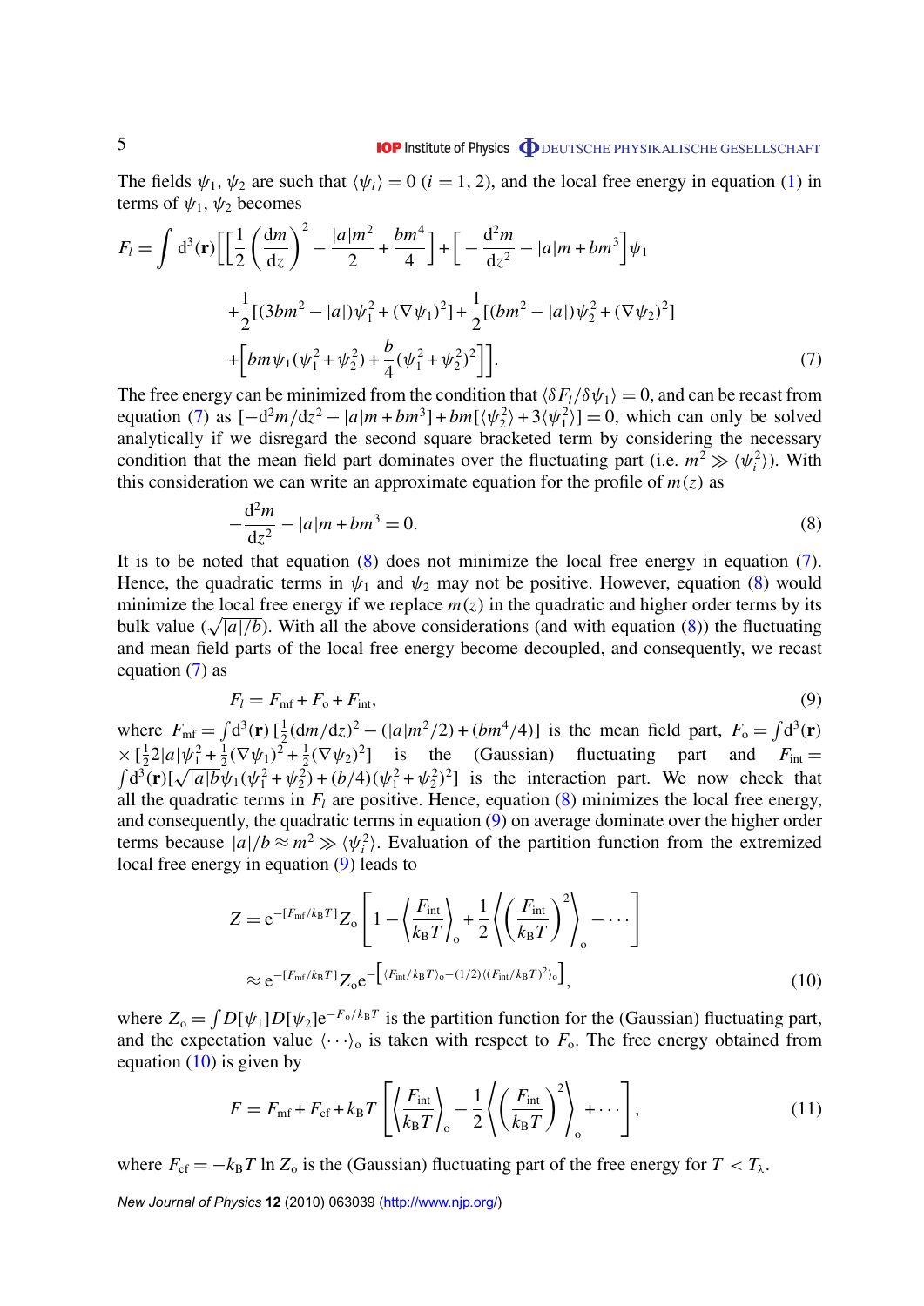<span id="page-5-0"></span>The fields  $\psi_1, \psi_2$  are such that  $\langle \psi_i \rangle = 0$  (*i* = 1, 2), and the local free energy in equation [\(1\)](#page-3-0) in terms of  $\psi_1$ ,  $\psi_2$  becomes

$$
F_{l} = \int d^{3}(\mathbf{r}) \left[ \left[ \frac{1}{2} \left( \frac{dm}{dz} \right)^{2} - \frac{|a|m^{2}}{2} + \frac{bm^{4}}{4} \right] + \left[ -\frac{d^{2}m}{dz^{2}} - |a|m + bm^{3} \right] \psi_{1} \right]
$$
  
+ 
$$
\frac{1}{2} [(3bm^{2} - |a|) \psi_{1}^{2} + (\nabla \psi_{1})^{2}] + \frac{1}{2} [(bm^{2} - |a|) \psi_{2}^{2} + (\nabla \psi_{2})^{2}] + \left[ bm \psi_{1} (\psi_{1}^{2} + \psi_{2}^{2}) + \frac{b}{4} (\psi_{1}^{2} + \psi_{2}^{2})^{2} \right]. \tag{7}
$$

The free energy can be minimized from the condition that  $\langle \delta F_l / \delta \psi_1 \rangle = 0$ , and can be recast from equation (7) as  $[-d^2m/dz^2 - |a|m + bm^3] + bm[\langle \psi_2^2 \rangle + 3\langle \psi_1^2 \rangle] = 0$ , which can only be solved analytically if we disregard the second square bracketed term by considering the necessary condition that the mean field part dominates over the fluctuating part (i.e.  $m^2 \gg \langle \psi_i^2 \rangle$ ). With this consideration we can write an approximate equation for the profile of  $m(z)$  as

$$
-\frac{d^2m}{dz^2} - |a|m + bm^3 = 0.
$$
\n(8)

It is to be noted that equation (8) does not minimize the local free energy in equation (7). Hence, the quadratic terms in  $\psi_1$  and  $\psi_2$  may not be positive. However, equation (8) would minimize the local free energy if we replace  $m(z)$  in the quadratic and higher order terms by its minimize the local tree energy if we replace  $m(z)$  in the quadratic and higher order terms by its bulk value ( $\sqrt{|a|/b}$ ). With all the above considerations (and with equation (8)) the fluctuating and mean field parts of the local free energy become decoupled, and consequently, we recast equation  $(7)$  as

$$
F_l = F_{\text{mf}} + F_{\text{o}} + F_{\text{int}},\tag{9}
$$

where  $F_{\text{mf}} = \int d^3(\mathbf{r}) \left[\frac{1}{2}\right]$  $\frac{1}{2}$ (d*m*/d*z*)<sup>2</sup> – (|*a*|*m*<sup>2</sup>/2) + (*bm*<sup>4</sup>/4)] is the mean field part,  $F_o = \int d^3(\mathbf{r})$  $\times$   $\left[\frac{1}{2}\right]$  $\frac{1}{2}2|a|\psi_1^2+\frac{1}{2}$  $\frac{1}{2}(\nabla \psi_1)^2 + \frac{1}{2}$  $\frac{1}{2}(\nabla \psi_2)^2$  is the (Gaussian) fluctuating part and  $F_{\text{int}} =$  $\int d^3(\mathbf{r})$ [  $\frac{1}{2}$  $\sqrt{a/b}\psi_1(\psi_1^2 + \psi_2^2) + (b/4)(\psi_1^2 + \psi_2^2)^2$  is the interaction part. We now check that all the quadratic terms in  $F_l$  are positive. Hence, equation  $(8)$  minimizes the local free energy, and consequently, the quadratic terms in equation (9) on average dominate over the higher order terms because  $|a|/b \approx m^2 \gg \langle \psi_i^2 \rangle$ . Evaluation of the partition function from the extremized local free energy in equation (9) leads to

$$
Z = e^{-\left[F_{\rm mf}/k_{\rm B}T\right]} Z_{\rm o} \left[1 - \left\langle \frac{F_{\rm int}}{k_{\rm B}T} \right\rangle_{\rm o} + \frac{1}{2} \left\langle \left(\frac{F_{\rm int}}{k_{\rm B}T}\right)^2 \right\rangle_{\rm o} - \cdots \right]
$$
  

$$
\approx e^{-\left[F_{\rm mf}/k_{\rm B}T\right]} Z_{\rm o} e^{-\left[\left\langle F_{\rm int}/k_{\rm B}T\right\rangle_{\rm o} - (1/2)\left\langle \left(F_{\rm int}/k_{\rm B}T\right)^2 \right\rangle_{\rm o}\right]},
$$
(10)

where  $Z_0 = \int D[\psi_1] D[\psi_2] e^{-F_0/k_B T}$  is the partition function for the (Gaussian) fluctuating part, and the expectation value  $\langle \cdot \cdot \cdot \rangle$  is taken with respect to  $F_o$ . The free energy obtained from equation  $(10)$  is given by

$$
F = F_{\text{mf}} + F_{\text{cf}} + k_{\text{B}} T \left[ \left\langle \frac{F_{\text{int}}}{k_{\text{B}} T} \right\rangle_{\text{o}} - \frac{1}{2} \left\langle \left( \frac{F_{\text{int}}}{k_{\text{B}} T} \right)^2 \right\rangle_{\text{o}} + \cdots \right],\tag{11}
$$

where  $F_{cf} = -k_B T \ln Z_o$  is the (Gaussian) fluctuating part of the free energy for  $T < T_\lambda$ .

*New Journal of Physics* **12** (2010) 063039 [\(http://www.njp.org/\)](http://www.njp.org/)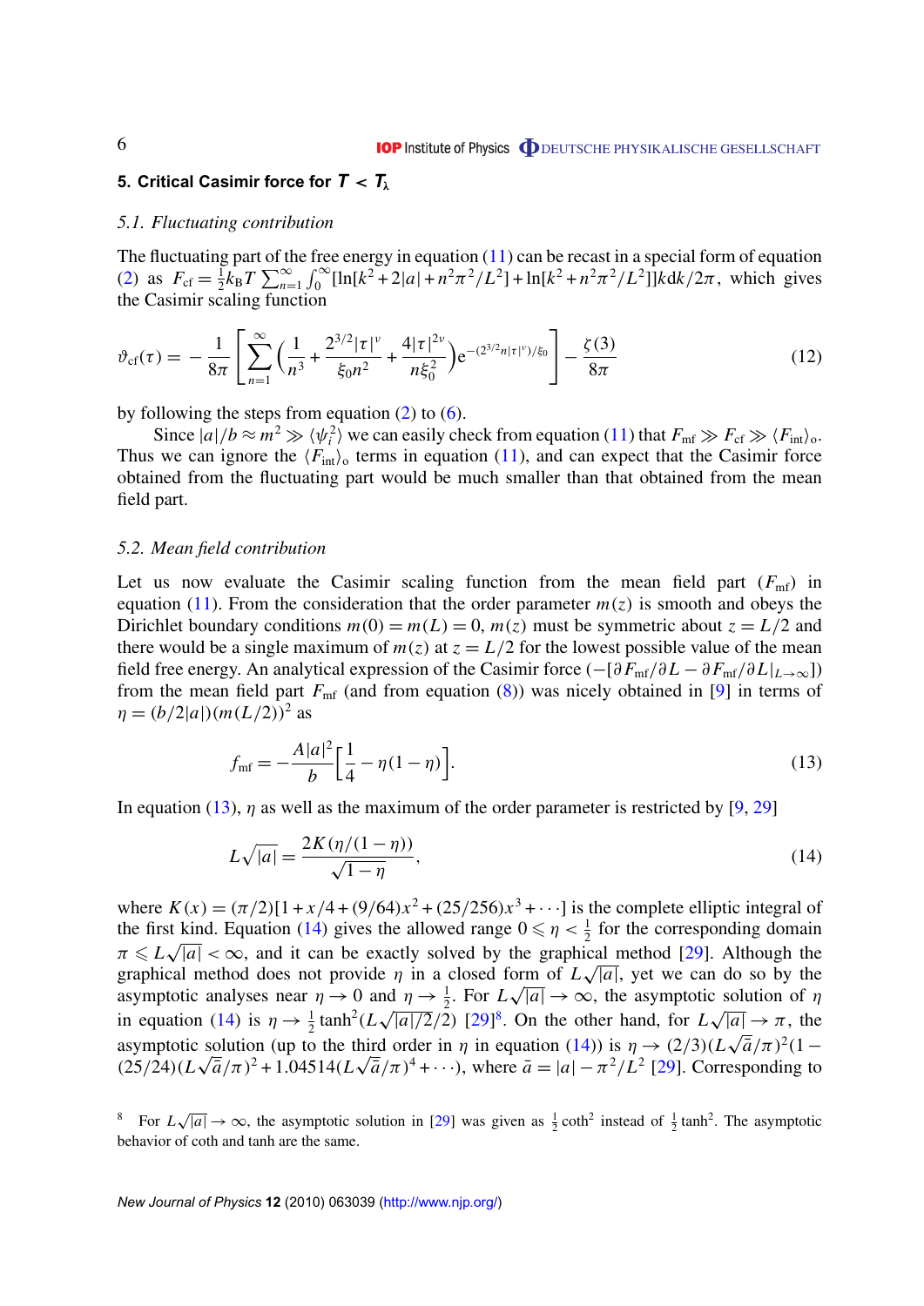#### <span id="page-6-0"></span>**5. Critical Casimir force for** *T* < *T*<sup>λ</sup>

#### *5.1. Fluctuating contribution*

The fluctuating part of the free energy in equation  $(11)$  can be recast in a special form of equation [\(2\)](#page-3-0) as  $F_{\rm cf} = \frac{1}{2}$  $\frac{1}{2}k_B T \sum_{n=1}^{\infty} \int_{0}^{\infty} [\ln[k^2 + 2|a] + n^2 \pi^2/L^2] + \ln[k^2 + n^2 \pi^2/L^2] ]k dk/2\pi$ , which gives the Casimir scaling function

$$
\vartheta_{\rm cf}(\tau) = -\frac{1}{8\pi} \left[ \sum_{n=1}^{\infty} \left( \frac{1}{n^3} + \frac{2^{3/2} |\tau|^{\nu}}{\xi_0 n^2} + \frac{4|\tau|^{2\nu}}{n\xi_0^2} \right) e^{-(2^{3/2} n|\tau|^{\nu})/\xi_0} \right] - \frac{\zeta(3)}{8\pi}
$$
(12)

by following the steps from equation  $(2)$  to  $(6)$ .

Since  $|a|/b \approx m^2 \gg \langle \psi_i^2 \rangle$  we can easily check from equation [\(11\)](#page-5-0) that  $F_{\text{mf}} \gg F_{\text{cf}} \gg \langle F_{\text{int}} \rangle$ . Thus we can ignore the  $\langle F_{\text{int}} \rangle$  terms in equation [\(11\)](#page-5-0), and can expect that the Casimir force obtained from the fluctuating part would be much smaller than that obtained from the mean field part.

#### *5.2. Mean field contribution*

Let us now evaluate the Casimir scaling function from the mean field part  $(F_{\text{mf}})$  in equation [\(11\)](#page-5-0). From the consideration that the order parameter  $m(z)$  is smooth and obeys the Dirichlet boundary conditions  $m(0) = m(L) = 0$ ,  $m(z)$  must be symmetric about  $z = L/2$  and there would be a single maximum of  $m(z)$  at  $z = L/2$  for the lowest possible value of the mean field free energy. An analytical expression of the Casimir force (−[∂*F*mf/∂*L* − ∂*F*mf/∂*L*|*L*→∞]) from the mean field part  $F_{\text{mf}}$  (and from equation [\(8\)](#page-5-0)) was nicely obtained in [\[9\]](#page-9-0) in terms of  $\eta = (b/2|a|)(m(L/2))^2$  as

$$
f_{\rm mf} = -\frac{A|a|^2}{b} \left[ \frac{1}{4} - \eta (1 - \eta) \right]. \tag{13}
$$

In equation (13),  $\eta$  as well as the maximum of the order parameter is restricted by [\[9,](#page-9-0) [29\]](#page-10-0)

$$
L\sqrt{|a|} = \frac{2K(\eta/(1-\eta))}{\sqrt{1-\eta}},\tag{14}
$$

where  $K(x) = (\pi/2)[1 + x/4 + (9/64)x^2 + (25/256)x^3 + \cdots]$  is the complete elliptic integral of the first kind. Equation (14) gives the allowed range  $0 \le \eta < \frac{1}{2}$  for the corresponding domain  $\pi \le L\sqrt{|a|} < \infty$ , and it can be exactly solved by the graphical method [\[29\]](#page-10-0). Although the graphical method does not provide  $\eta$  in a closed form of  $L\sqrt{|a|}$ , yet we can do so by the asymptotic analyses near  $\eta \to 0$  and  $\eta \to \frac{1}{2}$ . For  $L\sqrt{|a|} \to \infty$ , the asymptotic solution of  $\eta$ in equation (14) is  $\eta \to \frac{1}{2} \tanh^2(L\sqrt{|a|/2}/2)$  [\[29\]](#page-10-0)<sup>8</sup>. On the other hand, for  $L\sqrt{|a|} \to \pi$ , the asymptotic solution (up to the third order in  $\eta$  in equation (14)) is  $\eta \to (2/3)(L\sqrt{\overline{a}}/\pi)^2(1-\overline{a})$  $(25/24)(L\sqrt{\bar{a}}/\pi)^2 + 1.04514(L\sqrt{\bar{a}}/\pi)^4 + \cdots$ , where  $\bar{a} = |a| - \pi^2/L^2$  [\[29\]](#page-10-0). Corresponding to

<sup>8</sup> For *L*  $\sqrt{|a|} \to \infty$ , the asymptotic solution in [\[29\]](#page-10-0) was given as  $\frac{1}{2}$  coth<sup>2</sup> instead of  $\frac{1}{2}$  tanh<sup>2</sup>. The asymptotic behavior of coth and tanh are the same.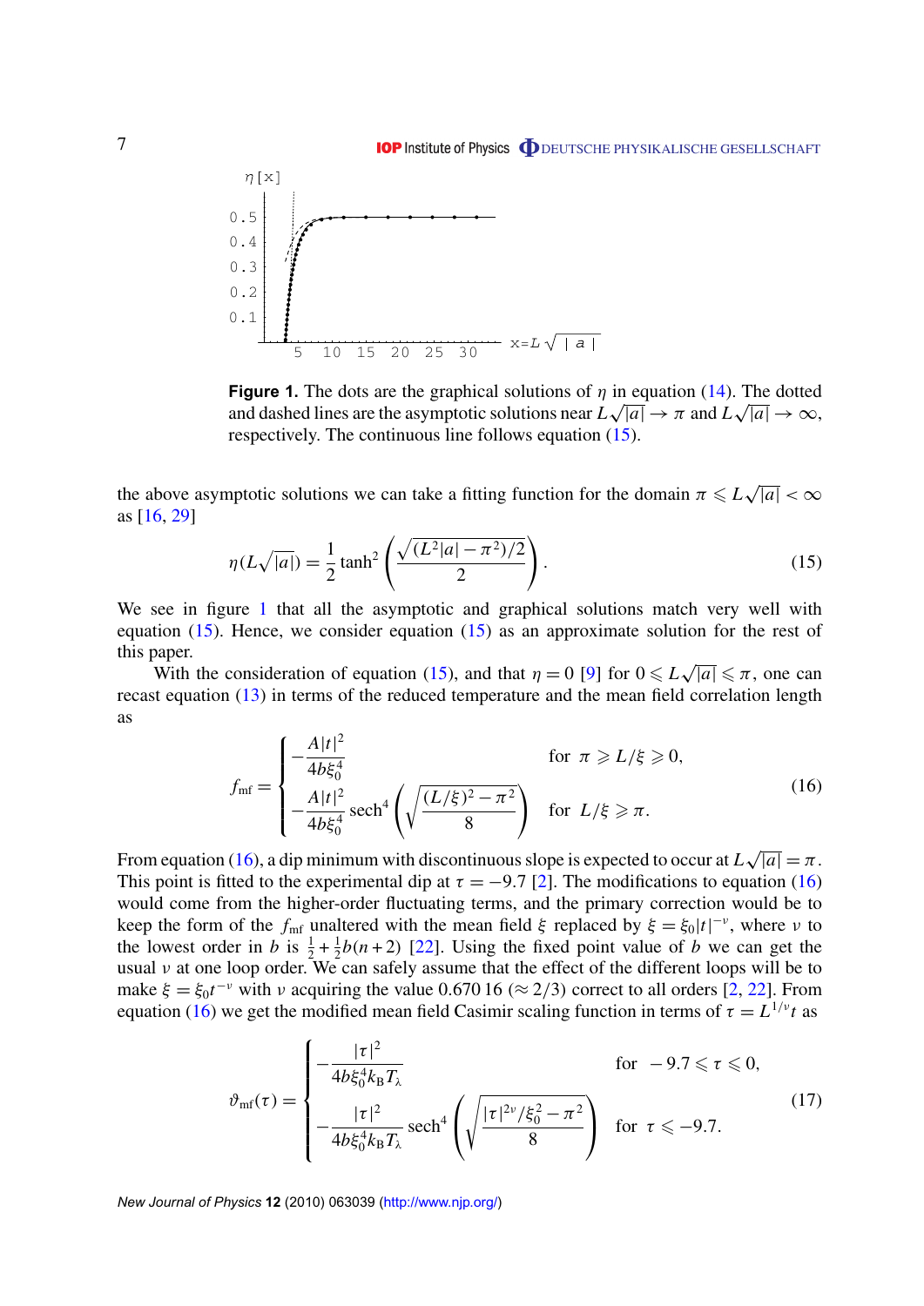**IOP** Institute of Physics **ODEUTSCHE PHYSIKALISCHE GESELLSCHAFT** 

<span id="page-7-0"></span>

**Figure 1.** The dots are the graphical solutions of  $\eta$  in equation [\(14\)](#page-6-0). The dotted and dashed lines are the asymptotic solutions near  $L\sqrt{|a|} \to \pi$  and  $L\sqrt{|a|} \to \infty$ , respectively. The continuous line follows equation (15).

the above asymptotic solutions we can take a fitting function for the domain  $\pi \le L\sqrt{|a|} < \infty$ as [\[16,](#page-9-0) [29\]](#page-10-0)

$$
\eta(L\sqrt{|a|}) = \frac{1}{2}\tanh^2\left(\frac{\sqrt{(L^2|a| - \pi^2)/2}}{2}\right).
$$
\n(15)

We see in figure 1 that all the asymptotic and graphical solutions match very well with equation  $(15)$ . Hence, we consider equation  $(15)$  as an approximate solution for the rest of this paper. √

With the consideration of equation (15), and that  $\eta = 0$  [\[9\]](#page-9-0) for  $0 \leq L$  $|\overline{a}| \leq \pi$ , one can recast equation [\(13\)](#page-6-0) in terms of the reduced temperature and the mean field correlation length as

$$
f_{\rm mf} = \begin{cases} -\frac{A|t|^2}{4b\xi_0^4} & \text{for } \pi \ge L/\xi \ge 0, \\ -\frac{A|t|^2}{4b\xi_0^4} \operatorname{sech}^4\left(\sqrt{\frac{(L/\xi)^2 - \pi^2}{8}}\right) & \text{for } L/\xi \ge \pi. \end{cases}
$$
(16)

From equation (16), a dip minimum with discontinuous slope is expected to occur at *L*  $\overline{|a|} = \pi$ . This point is fitted to the experimental dip at  $\tau = -9.7$  [\[2\]](#page-9-0). The modifications to equation (16) would come from the higher-order fluctuating terms, and the primary correction would be to keep the form of the  $f_{\text{mf}}$  unaltered with the mean field  $\xi$  replaced by  $\xi = \xi_0 |t|^{-\nu}$ , where  $\nu$  to the lowest order in *b* is  $\frac{1}{2} + \frac{1}{2}$  $\frac{1}{2}b(n+2)$  [\[22\]](#page-10-0). Using the fixed point value of *b* we can get the usual  $\nu$  at one loop order. We can safely assume that the effect of the different loops will be to make  $\xi = \xi_0 t^{-\nu}$  with  $\nu$  acquiring the value 0.670 16 ( $\approx$  2/3) correct to all orders [\[2,](#page-9-0) [22\]](#page-10-0). From equation (16) we get the modified mean field Casimir scaling function in terms of  $\tau = L^{1/\nu} t$  as

$$
\vartheta_{\rm mf}(\tau) = \begin{cases}\n-\frac{|\tau|^2}{4b\xi_0^4 k_{\rm B} T_{\lambda}} & \text{for } -9.7 \leq \tau \leq 0, \\
-\frac{|\tau|^2}{4b\xi_0^4 k_{\rm B} T_{\lambda}} \operatorname{sech}^4\left(\sqrt{\frac{|\tau|^{2\nu}/\xi_0^2 - \pi^2}{8}}\right) & \text{for } \tau \leq -9.7.\n\end{cases}
$$
\n(17)

*New Journal of Physics* **12** (2010) 063039 [\(http://www.njp.org/\)](http://www.njp.org/)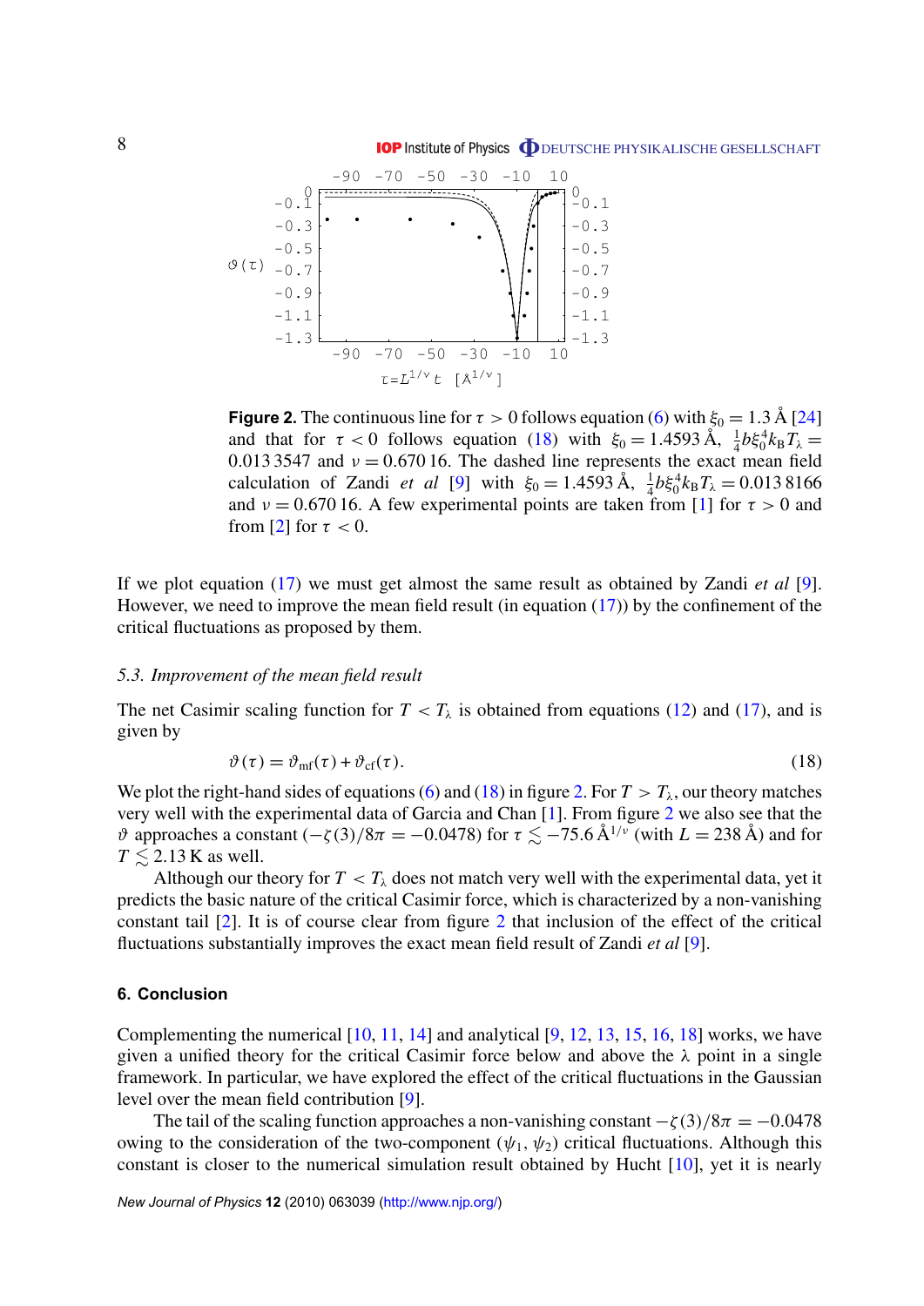<span id="page-8-0"></span>

**Figure 2.** The continuous line for  $\tau > 0$  follows equation [\(6\)](#page-4-0) with  $\xi_0 = 1.3 \text{ Å} [24]$  $\xi_0 = 1.3 \text{ Å} [24]$ and that for  $\tau < 0$  follows equation (18) with  $\xi_0 = 1.4593 \text{ Å}, \frac{1}{4} b \xi_0^4 k_\text{B} T_\lambda =$ 0.013 3547 and  $v = 0.67016$ . The dashed line represents the exact mean field calculation of Zandi *et al* [\[9\]](#page-9-0) with  $\xi_0 = 1.4593 \text{ Å}, \frac{1}{4} b \xi_0^4 k_B T_\lambda = 0.0138166$ and  $v = 0.67016$ . A few experimental points are taken from [\[1\]](#page-9-0) for  $\tau > 0$  and from [\[2\]](#page-9-0) for  $\tau < 0$ .

If we plot equation [\(17\)](#page-7-0) we must get almost the same result as obtained by Zandi *et al* [\[9\]](#page-9-0). However, we need to improve the mean field result (in equation  $(17)$ ) by the confinement of the critical fluctuations as proposed by them.

#### *5.3. Improvement of the mean field result*

The net Casimir scaling function for  $T < T_\lambda$  is obtained from equations [\(12\)](#page-6-0) and [\(17\)](#page-7-0), and is given by

$$
\vartheta(\tau) = \vartheta_{\rm mf}(\tau) + \vartheta_{\rm cf}(\tau). \tag{18}
$$

We plot the right-hand sides of equations [\(6\)](#page-4-0) and (18) in figure 2. For  $T > T_{\lambda}$ , our theory matches very well with the experimental data of Garcia and Chan [\[1\]](#page-9-0). From figure 2 we also see that the  $\vartheta$  approaches a constant (- $\zeta$ (3)/8 $\pi$  = -0.0478) for  $\tau \lesssim$  -75.6 Å<sup>1/ $\nu$ </sup> (with  $L = 238$  Å) and for  $T \leq 2.13$  K as well.

Although our theory for  $T < T_\lambda$  does not match very well with the experimental data, yet it predicts the basic nature of the critical Casimir force, which is characterized by a non-vanishing constant tail [\[2\]](#page-9-0). It is of course clear from figure 2 that inclusion of the effect of the critical fluctuations substantially improves the exact mean field result of Zandi *et al* [\[9\]](#page-9-0).

#### **6. Conclusion**

Complementing the numerical  $[10, 11, 14]$  $[10, 11, 14]$  $[10, 11, 14]$  $[10, 11, 14]$  $[10, 11, 14]$  and analytical  $[9, 12, 13, 15, 16, 18]$  $[9, 12, 13, 15, 16, 18]$  $[9, 12, 13, 15, 16, 18]$  $[9, 12, 13, 15, 16, 18]$  $[9, 12, 13, 15, 16, 18]$  $[9, 12, 13, 15, 16, 18]$  $[9, 12, 13, 15, 16, 18]$  $[9, 12, 13, 15, 16, 18]$  $[9, 12, 13, 15, 16, 18]$  $[9, 12, 13, 15, 16, 18]$  $[9, 12, 13, 15, 16, 18]$  works, we have given a unified theory for the critical Casimir force below and above the  $\lambda$  point in a single framework. In particular, we have explored the effect of the critical fluctuations in the Gaussian level over the mean field contribution [\[9\]](#page-9-0).

The tail of the scaling function approaches a non-vanishing constant  $-\zeta(3)/8\pi = -0.0478$ owing to the consideration of the two-component  $(\psi_1, \psi_2)$  critical fluctuations. Although this constant is closer to the numerical simulation result obtained by Hucht [\[10\]](#page-9-0), yet it is nearly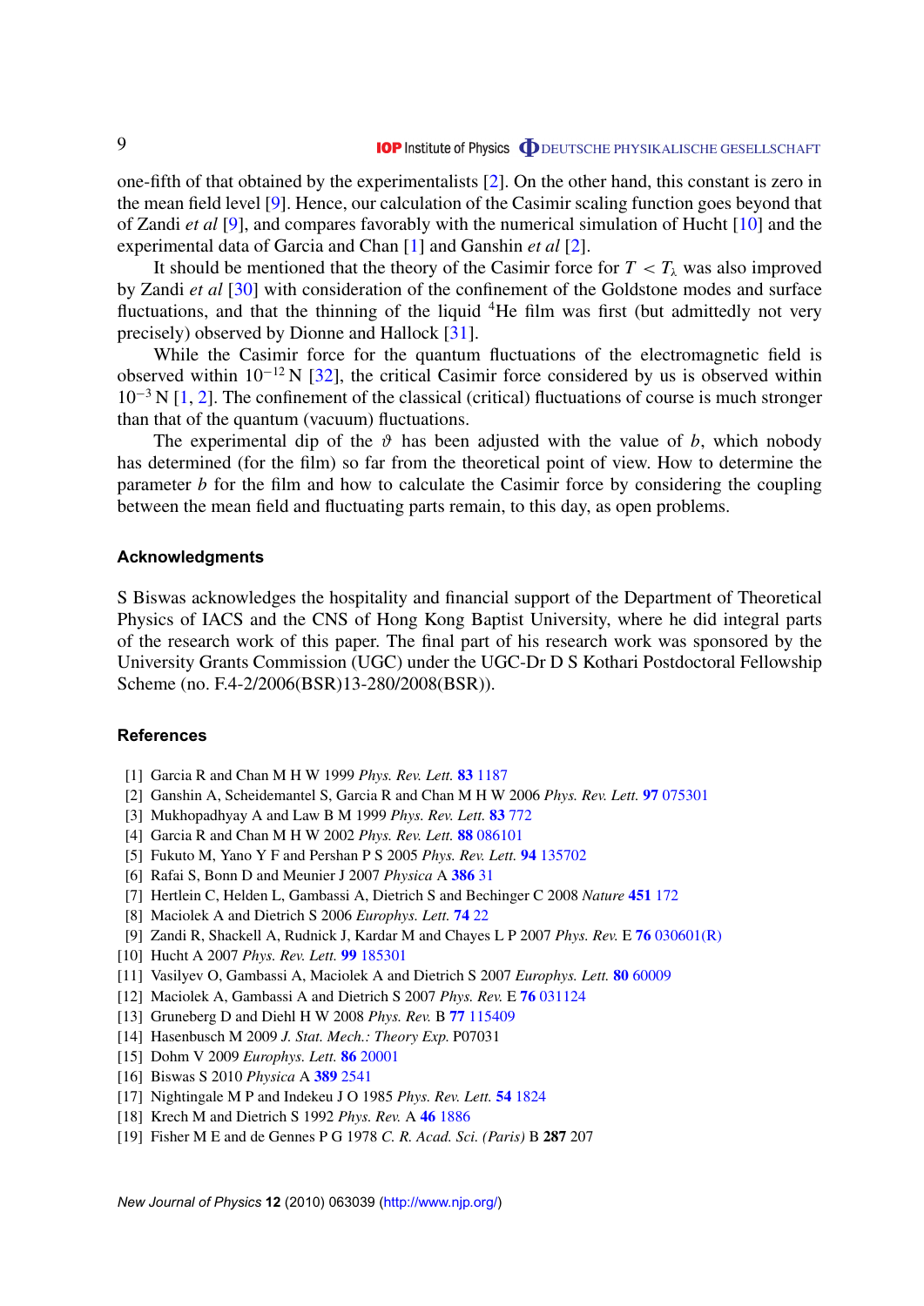<span id="page-9-0"></span>one-fifth of that obtained by the experimentalists [2]. On the other hand, this constant is zero in the mean field level [9]. Hence, our calculation of the Casimir scaling function goes beyond that of Zandi *et al* [9], and compares favorably with the numerical simulation of Hucht [10] and the experimental data of Garcia and Chan [1] and Ganshin *et al* [2].

It should be mentioned that the theory of the Casimir force for  $T < T_\lambda$  was also improved by Zandi *et al* [\[30\]](#page-10-0) with consideration of the confinement of the Goldstone modes and surface fluctuations, and that the thinning of the liquid  ${}^{4}$ He film was first (but admittedly not very precisely) observed by Dionne and Hallock [\[31\]](#page-10-0).

While the Casimir force for the quantum fluctuations of the electromagnetic field is observed within  $10^{-12}$  N [\[32\]](#page-10-0), the critical Casimir force considered by us is observed within  $10^{-3}$  N [1, 2]. The confinement of the classical (critical) fluctuations of course is much stronger than that of the quantum (vacuum) fluctuations.

The experimental dip of the  $\vartheta$  has been adjusted with the value of *b*, which nobody has determined (for the film) so far from the theoretical point of view. How to determine the parameter *b* for the film and how to calculate the Casimir force by considering the coupling between the mean field and fluctuating parts remain, to this day, as open problems.

#### **Acknowledgments**

S Biswas acknowledges the hospitality and financial support of the Department of Theoretical Physics of IACS and the CNS of Hong Kong Baptist University, where he did integral parts of the research work of this paper. The final part of his research work was sponsored by the University Grants Commission (UGC) under the UGC-Dr D S Kothari Postdoctoral Fellowship Scheme (no. F.4-2/2006(BSR)13-280/2008(BSR)).

#### **References**

- [1] Garcia R and Chan M H W 1999 *Phys. Rev. Lett.* **83** [1187](http://dx.doi.org/10.1103/PhysRevLett.83.1187)
- [2] Ganshin A, Scheidemantel S, Garcia R and Chan M H W 2006 *Phys. Rev. Lett.* **97** [075301](http://dx.doi.org/10.1103/PhysRevLett.97.075301)
- [3] Mukhopadhyay A and Law B M 1999 *Phys. Rev. Lett.* **83** [772](http://dx.doi.org/10.1103/PhysRevLett.83.772)
- [4] Garcia R and Chan M H W 2002 *Phys. Rev. Lett.* **88** [086101](http://dx.doi.org/10.1103/PhysRevLett.88.086101)
- [5] Fukuto M, Yano Y F and Pershan P S 2005 *Phys. Rev. Lett.* **94** [135702](http://dx.doi.org/10.1103/PhysRevLett.94.135702)
- [6] Rafai S, Bonn D and Meunier J 2007 *Physica* A **[386](http://dx.doi.org/10.1016/j.physa.2007.07.072)** 31
- [7] Hertlein C, Helden L, Gambassi A, Dietrich S and Bechinger C 2008 *Nature* **451** [172](http://dx.doi.org/10.1038/nature06443)
- [8] Maciolek A and Dietrich S 2006 *Europhys. Lett.* **[74](http://dx.doi.org/10.1209/epl/i2005-10497-y)** 22
- [9] Zandi R, Shackell A, Rudnick J, Kardar M and Chayes L P 2007 *Phys. Rev.* E **76** [030601\(R\)](http://dx.doi.org/10.1103/PhysRevE.76.030601)
- [10] Hucht A 2007 *Phys. Rev. Lett.* **99** [185301](http://dx.doi.org/10.1103/PhysRevLett.99.185301)
- [11] Vasilyev O, Gambassi A, Maciolek A and Dietrich S 2007 *Europhys. Lett.* **80** [60009](http://dx.doi.org/10.1209/0295-5075/80/60009)
- [12] Maciolek A, Gambassi A and Dietrich S 2007 *Phys. Rev.* E **76** [031124](http://dx.doi.org/10.1103/PhysRevE.76.031124)
- [13] Gruneberg D and Diehl H W 2008 *Phys. Rev.* B **77** [115409](http://dx.doi.org/10.1103/PhysRevB.77.115409)
- [14] Hasenbusch M 2009 *J. Stat. Mech.: Theory Exp.* P07031
- [15] Dohm V 2009 *Europhys. Lett.* **86** [20001](http://dx.doi.org/10.1209/0295-5075/86/20001)
- [16] Biswas S 2010 *Physica* A **389** [2541](http://dx.doi.org/10.1016/j.physa.2010.03.018)
- [17] Nightingale M P and Indekeu J O 1985 *Phys. Rev. Lett.* **54** [1824](http://dx.doi.org/10.1103/PhysRevLett.54.1824)
- [18] Krech M and Dietrich S 1992 *Phys. Rev.* A **46** [1886](http://dx.doi.org/10.1103/PhysRevA.46.1886)
- [19] Fisher M E and de Gennes P G 1978 *C. R. Acad. Sci. (Paris)* B **287** 207

*New Journal of Physics* **12** (2010) 063039 [\(http://www.njp.org/\)](http://www.njp.org/)